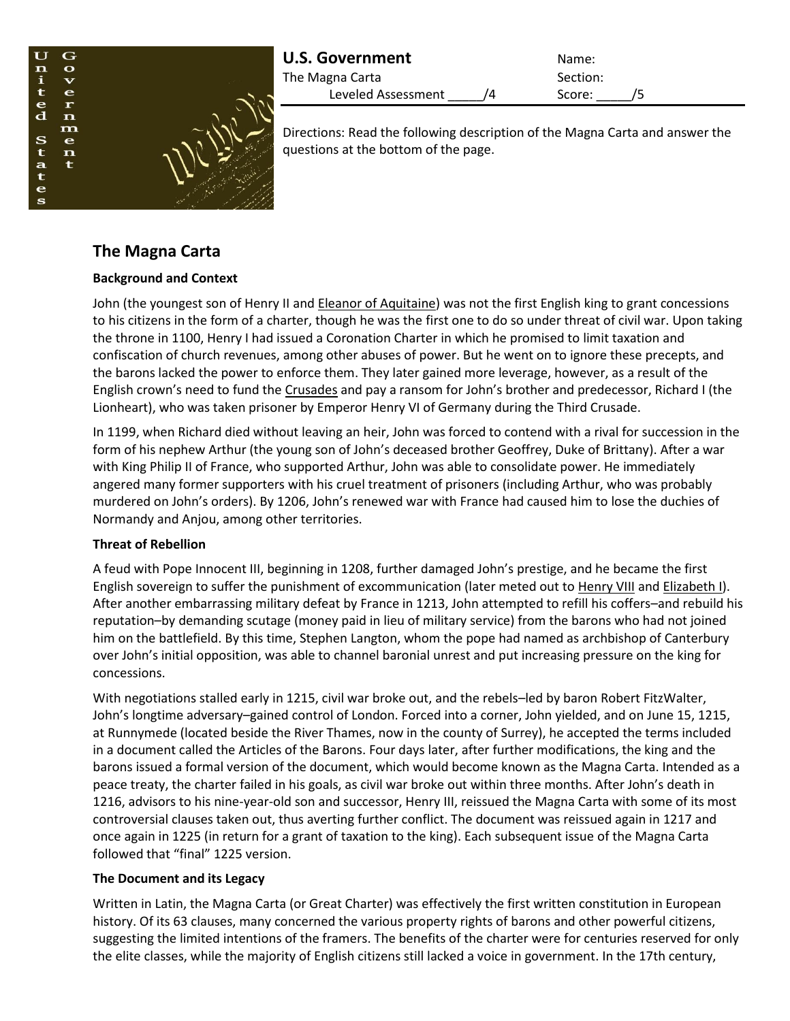

| <b>U.S. Government</b> | Name:    |  |
|------------------------|----------|--|
| The Magna Carta        | Section: |  |
| Leveled Assessment     | Score:   |  |

Directions: Read the following description of the Magna Carta and answer the questions at the bottom of the page.

# **The Magna Carta**

### **Background and Context**

John (the youngest son of Henry II and [Eleanor of Aquitaine\)](http://www.history.com/topics/british-history/eleanor-of-aquitaine) was not the first English king to grant concessions to his citizens in the form of a charter, though he was the first one to do so under threat of civil war. Upon taking the throne in 1100, Henry I had issued a Coronation Charter in which he promised to limit taxation and confiscation of church revenues, among other abuses of power. But he went on to ignore these precepts, and the barons lacked the power to enforce them. They later gained more leverage, however, as a result of the English crown's need to fund the [Crusades](http://www.history.com/topics/crusades) and pay a ransom for John's brother and predecessor, Richard I (the Lionheart), who was taken prisoner by Emperor Henry VI of Germany during the Third Crusade.

In 1199, when Richard died without leaving an heir, John was forced to contend with a rival for succession in the form of his nephew Arthur (the young son of John's deceased brother Geoffrey, Duke of Brittany). After a war with King Philip II of France, who supported Arthur, John was able to consolidate power. He immediately angered many former supporters with his cruel treatment of prisoners (including Arthur, who was probably murdered on John's orders). By 1206, John's renewed war with France had caused him to lose the duchies of Normandy and Anjou, among other territories.

# **Threat of Rebellion**

A feud with Pope Innocent III, beginning in 1208, further damaged John's prestige, and he became the first English sovereign to suffer the punishment of excommunication (later meted out to [Henry VIII](http://www.history.com/topics/british-history/henry-viii) and [Elizabeth I\)](http://www.history.com/topics/british-history/elizabeth-i). After another embarrassing military defeat by France in 1213, John attempted to refill his coffers–and rebuild his reputation–by demanding scutage (money paid in lieu of military service) from the barons who had not joined him on the battlefield. By this time, Stephen Langton, whom the pope had named as archbishop of Canterbury over John's initial opposition, was able to channel baronial unrest and put increasing pressure on the king for concessions.

With negotiations stalled early in 1215, civil war broke out, and the rebels–led by baron Robert FitzWalter, John's longtime adversary–gained control of London. Forced into a corner, John yielded, and on June 15, 1215, at Runnymede (located beside the River Thames, now in the county of Surrey), he accepted the terms included in a document called the Articles of the Barons. Four days later, after further modifications, the king and the barons issued a formal version of the document, which would become known as the Magna Carta. Intended as a peace treaty, the charter failed in his goals, as civil war broke out within three months. After John's death in 1216, advisors to his nine-year-old son and successor, Henry III, reissued the Magna Carta with some of its most controversial clauses taken out, thus averting further conflict. The document was reissued again in 1217 and once again in 1225 (in return for a grant of taxation to the king). Each subsequent issue of the Magna Carta followed that "final" 1225 version.

# **The Document and its Legacy**

Written in Latin, the Magna Carta (or Great Charter) was effectively the first written constitution in European history. Of its 63 clauses, many concerned the various property rights of barons and other powerful citizens, suggesting the limited intentions of the framers. The benefits of the charter were for centuries reserved for only the elite classes, while the majority of English citizens still lacked a voice in government. In the 17th century,